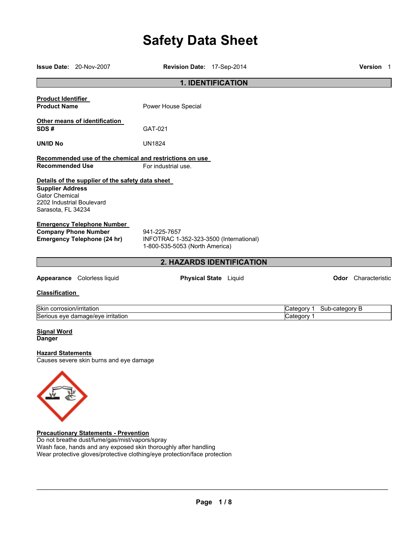# **Safety Data Sheet**

|                                                                                                     | <b>Issue Date: 20-Nov-2007</b>                                                                         | Revision Date: 17-Sep-2014                                                                |                              |                          |                | Version 1                  |
|-----------------------------------------------------------------------------------------------------|--------------------------------------------------------------------------------------------------------|-------------------------------------------------------------------------------------------|------------------------------|--------------------------|----------------|----------------------------|
|                                                                                                     |                                                                                                        |                                                                                           | <b>1. IDENTIFICATION</b>     |                          |                |                            |
| <b>Product Identifier</b><br><b>Product Name</b>                                                    |                                                                                                        | Power House Special                                                                       |                              |                          |                |                            |
| SDS#                                                                                                | Other means of identification                                                                          | GAT-021                                                                                   |                              |                          |                |                            |
| <b>UN/ID No</b>                                                                                     |                                                                                                        | <b>UN1824</b>                                                                             |                              |                          |                |                            |
| <b>Recommended Use</b>                                                                              |                                                                                                        | Recommended use of the chemical and restrictions on use<br>For industrial use.            |                              |                          |                |                            |
| <b>Supplier Address</b><br><b>Gator Chemical</b><br>2202 Industrial Boulevard<br>Sarasota, FL 34234 | Details of the supplier of the safety data sheet                                                       |                                                                                           |                              |                          |                |                            |
|                                                                                                     | <b>Emergency Telephone Number</b><br><b>Company Phone Number</b><br><b>Emergency Telephone (24 hr)</b> | 941-225-7657<br>INFOTRAC 1-352-323-3500 (International)<br>1-800-535-5053 (North America) |                              |                          |                |                            |
|                                                                                                     |                                                                                                        |                                                                                           | 2. HAZARDS IDENTIFICATION    |                          |                |                            |
|                                                                                                     | Appearance Colorless liquid                                                                            |                                                                                           | <b>Physical State</b> Liquid |                          |                | <b>Odor</b> Characteristic |
| <b>Classification</b>                                                                               |                                                                                                        |                                                                                           |                              |                          |                |                            |
| Skin corrosion/irritation                                                                           | Serious eye damage/eye irritation                                                                      |                                                                                           |                              | Category 1<br>Category 1 | Sub-category B |                            |
| <b>Signal Word</b><br><b>Danger</b>                                                                 |                                                                                                        |                                                                                           |                              |                          |                |                            |
| <b>Hazard Statements</b><br>Causes severe skin burns and eye damage                                 |                                                                                                        |                                                                                           |                              |                          |                |                            |
|                                                                                                     |                                                                                                        |                                                                                           |                              |                          |                |                            |

**Precautionary Statements - Prevention**  Do not breathe dust/fume/gas/mist/vapors/spray Wash face, hands and any exposed skin thoroughly after handling Wear protective gloves/protective clothing/eye protection/face protection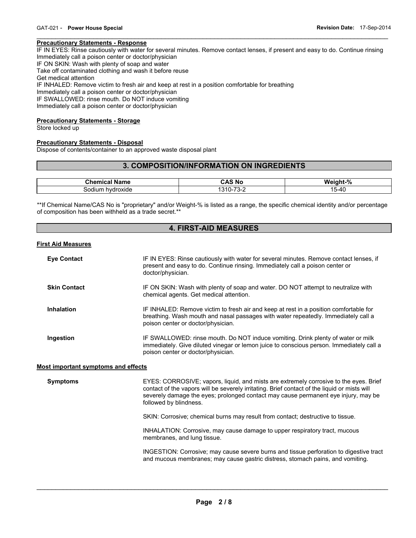#### **Precautionary Statements - Response**

IF IN EYES: Rinse cautiously with water for several minutes. Remove contact lenses, if present and easy to do. Continue rinsing Immediately call a poison center or doctor/physician

 $\mathcal{L}_\mathcal{L} = \{ \mathcal{L}_\mathcal{L} = \{ \mathcal{L}_\mathcal{L} = \{ \mathcal{L}_\mathcal{L} = \{ \mathcal{L}_\mathcal{L} = \{ \mathcal{L}_\mathcal{L} = \{ \mathcal{L}_\mathcal{L} = \{ \mathcal{L}_\mathcal{L} = \{ \mathcal{L}_\mathcal{L} = \{ \mathcal{L}_\mathcal{L} = \{ \mathcal{L}_\mathcal{L} = \{ \mathcal{L}_\mathcal{L} = \{ \mathcal{L}_\mathcal{L} = \{ \mathcal{L}_\mathcal{L} = \{ \mathcal{L}_\mathcal{$ 

IF ON SKIN: Wash with plenty of soap and water

Take off contaminated clothing and wash it before reuse

Get medical attention

IF INHALED: Remove victim to fresh air and keep at rest in a position comfortable for breathing

Immediately call a poison center or doctor/physician

IF SWALLOWED: rinse mouth. Do NOT induce vomiting

Immediately call a poison center or doctor/physician

# **Precautionary Statements - Storage**

Store locked up

# **Precautionary Statements - Disposal**

Dispose of contents/container to an approved waste disposal plant

# **3. COMPOSITION/INFORMATION ON INGREDIENTS**

| :hen<br>Name<br>11 I I   | ` No<br>÷<br>___     | $\mathbf{r}$<br><b>Wei</b><br>i av la i<br>70            |
|--------------------------|----------------------|----------------------------------------------------------|
| hydroxide<br>;odi⊔r<br>. | $\neg$<br>- בר<br>.- | . .<br>1 E<br>$\overline{ }$<br>᠇៶<br>U<br>$\sim$ $\sim$ |

\*\*If Chemical Name/CAS No is "proprietary" and/or Weight-% is listed as a range, the specific chemical identity and/or percentage of composition has been withheld as a trade secret.\*\*

# **4. FIRST-AID MEASURES**

#### **First Aid Measures**

| <b>Eye Contact</b>  | IF IN EYES: Rinse cautiously with water for several minutes. Remove contact lenses, if<br>present and easy to do. Continue rinsing. Immediately call a poison center or<br>doctor/physician.                       |
|---------------------|--------------------------------------------------------------------------------------------------------------------------------------------------------------------------------------------------------------------|
| <b>Skin Contact</b> | IF ON SKIN: Wash with plenty of soap and water. DO NOT attempt to neutralize with<br>chemical agents. Get medical attention.                                                                                       |
| Inhalation          | IF INHALED: Remove victim to fresh air and keep at rest in a position comfortable for<br>breathing. Wash mouth and nasal passages with water repeatedly. Immediately call a<br>poison center or doctor/physician.  |
| Ingestion           | IF SWALLOWED: rinse mouth. Do NOT induce vomiting. Drink plenty of water or milk<br>immediately. Give diluted vinegar or lemon juice to conscious person. Immediately call a<br>poison center or doctor/physician. |

#### **Most important symptoms and effects**

**Symptoms** EYES: CORROSIVE; vapors, liquid, and mists are extremely corrosive to the eyes. Brief contact of the vapors will be severely irritating. Brief contact of the liquid or mists will severely damage the eyes; prolonged contact may cause permanent eye injury, may be followed by blindness.

SKIN: Corrosive; chemical burns may result from contact; destructive to tissue.

INHALATION: Corrosive, may cause damage to upper respiratory tract, mucous membranes, and lung tissue.

INGESTION: Corrosive; may cause severe burns and tissue perforation to digestive tract and mucous membranes; may cause gastric distress, stomach pains, and vomiting.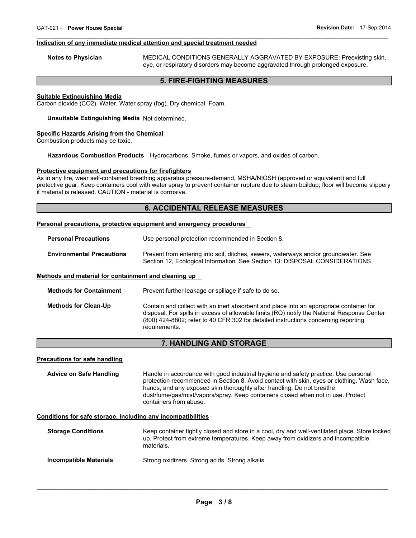#### **Indication of any immediate medical attention and special treatment needed**

**Notes to Physician** MEDICAL CONDITIONS GENERALLY AGGRAVATED BY EXPOSURE: Preexisting skin, eye, or respiratory disorders may become aggravated through prolonged exposure.

# **5. FIRE-FIGHTING MEASURES**

 $\mathcal{L}_\mathcal{L} = \{ \mathcal{L}_\mathcal{L} = \{ \mathcal{L}_\mathcal{L} = \{ \mathcal{L}_\mathcal{L} = \{ \mathcal{L}_\mathcal{L} = \{ \mathcal{L}_\mathcal{L} = \{ \mathcal{L}_\mathcal{L} = \{ \mathcal{L}_\mathcal{L} = \{ \mathcal{L}_\mathcal{L} = \{ \mathcal{L}_\mathcal{L} = \{ \mathcal{L}_\mathcal{L} = \{ \mathcal{L}_\mathcal{L} = \{ \mathcal{L}_\mathcal{L} = \{ \mathcal{L}_\mathcal{L} = \{ \mathcal{L}_\mathcal{$ 

# **Suitable Extinguishing Media**

Carbon dioxide (CO2). Water. Water spray (fog). Dry chemical. Foam.

#### **Unsuitable Extinguishing Media** Not determined.

#### **Specific Hazards Arising from the Chemical**

Combustion products may be toxic.

**Hazardous Combustion Products** Hydrocarbons. Smoke, fumes or vapors, and oxides of carbon.

#### **Protective equipment and precautions for firefighters**

As in any fire, wear self-contained breathing apparatus pressure-demand, MSHA/NIOSH (approved or equivalent) and full protective gear. Keep containers cool with water spray to prevent container rupture due to steam buildup; floor will become slippery if material is released. CAUTION - material is corrosive.

# **6. ACCIDENTAL RELEASE MEASURES**

#### **Personal precautions, protective equipment and emergency procedures**

| <b>Personal Precautions</b>      | Use personal protection recommended in Section 8.                                                                                                                   |  |  |
|----------------------------------|---------------------------------------------------------------------------------------------------------------------------------------------------------------------|--|--|
| <b>Environmental Precautions</b> | Prevent from entering into soil, ditches, sewers, waterways and/or groundwater. See<br>Section 12, Ecological Information. See Section 13: DISPOSAL CONSIDERATIONS. |  |  |

#### **Methods and material for containment and cleaning up**

| <b>Methods for Containment</b> | Prevent further leakage or spillage if safe to do so.                                                                                                                                                                                                                                         |
|--------------------------------|-----------------------------------------------------------------------------------------------------------------------------------------------------------------------------------------------------------------------------------------------------------------------------------------------|
| <b>Methods for Clean-Up</b>    | Contain and collect with an inert absorbent and place into an appropriate container for<br>disposal. For spills in excess of allowable limits (RQ) notify the National Response Center<br>(800) 424-8802; refer to 40 CFR 302 for detailed instructions concerning reporting<br>requirements. |

# **7. HANDLING AND STORAGE**

#### **Precautions for safe handling**

**Advice on Safe Handling** Handle in accordance with good industrial hygiene and safety practice. Use personal protection recommended in Section 8. Avoid contact with skin, eyes or clothing. Wash face, hands, and any exposed skin thoroughly after handling. Do not breathe dust/fume/gas/mist/vapors/spray. Keep containers closed when not in use. Protect containers from abuse.

# **Conditions for safe storage, including any incompatibilities**

| <b>Storage Conditions</b> | Keep container tightly closed and store in a cool, dry and well-ventilated place. Store locked<br>up. Protect from extreme temperatures. Keep away from oxidizers and incompatible<br>materials. |
|---------------------------|--------------------------------------------------------------------------------------------------------------------------------------------------------------------------------------------------|
| Incompatible Materials    | Strong oxidizers. Strong acids. Strong alkalis.                                                                                                                                                  |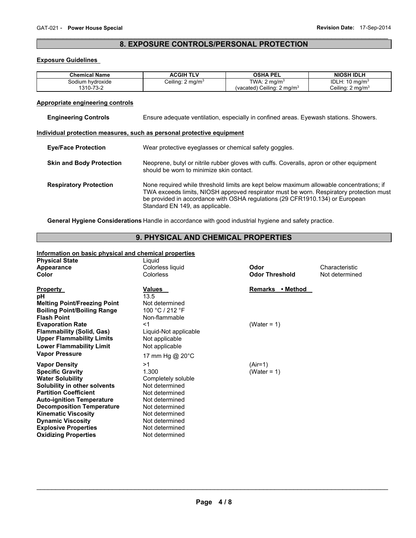# $\mathcal{L}_\mathcal{L} = \{ \mathcal{L}_\mathcal{L} = \{ \mathcal{L}_\mathcal{L} = \{ \mathcal{L}_\mathcal{L} = \{ \mathcal{L}_\mathcal{L} = \{ \mathcal{L}_\mathcal{L} = \{ \mathcal{L}_\mathcal{L} = \{ \mathcal{L}_\mathcal{L} = \{ \mathcal{L}_\mathcal{L} = \{ \mathcal{L}_\mathcal{L} = \{ \mathcal{L}_\mathcal{L} = \{ \mathcal{L}_\mathcal{L} = \{ \mathcal{L}_\mathcal{L} = \{ \mathcal{L}_\mathcal{L} = \{ \mathcal{L}_\mathcal{$ **8. EXPOSURE CONTROLS/PERSONAL PROTECTION**

# **Exposure Guidelines**

| <b>Chemical Name</b> | <b>ACGIH TLV</b>            | <b>OSHA PEL</b>                       | <b>NIOSH IDLH</b>           |
|----------------------|-----------------------------|---------------------------------------|-----------------------------|
| Sodium hvdroxide     | Ceiling: $2 \text{ mg/m}^3$ | TWA: $2 \text{ ma/m}^3$               | IDLH: $10 \text{ mg/m}^3$   |
| 1310-73-2            |                             | (vacated) Ceiling: $2 \text{ mg/m}^3$ | Ceiling: $2 \text{ mg/m}^3$ |

# **Appropriate engineering controls**

| <b>Engineering Controls</b> |  | Ensure adequate ventilation, especially in confined areas. Eyewash stations. Showers. |
|-----------------------------|--|---------------------------------------------------------------------------------------|
|                             |  |                                                                                       |

# **Individual protection measures, such as personal protective equipment**

| <b>Eye/Face Protection</b>      | Wear protective eyeglasses or chemical safety goggles.                                                                                                                                                                                                                                                 |  |
|---------------------------------|--------------------------------------------------------------------------------------------------------------------------------------------------------------------------------------------------------------------------------------------------------------------------------------------------------|--|
| <b>Skin and Body Protection</b> | Neoprene, butyl or nitrile rubber gloves with cuffs. Coveralls, apron or other equipment<br>should be worn to minimize skin contact.                                                                                                                                                                   |  |
| <b>Respiratory Protection</b>   | None required while threshold limits are kept below maximum allowable concentrations; if<br>TWA exceeds limits, NIOSH approved respirator must be worn. Respiratory protection must<br>be provided in accordance with OSHA regulations (29 CFR1910.134) or European<br>Standard EN 149, as applicable. |  |

**General Hygiene Considerations** Handle in accordance with good industrial hygiene and safety practice.

# **9. PHYSICAL AND CHEMICAL PROPERTIES**

# **Information on basic physical and chemical properties**

| <b>Physical State</b><br>Appearance | Liguid<br>Colorless liquid | Odor                  | Characteristic |
|-------------------------------------|----------------------------|-----------------------|----------------|
| Color                               | Colorless                  | <b>Odor Threshold</b> | Not determined |
| <b>Property</b>                     | <b>Values</b>              | Remarks • Method      |                |
| рH                                  | 13.5                       |                       |                |
| <b>Melting Point/Freezing Point</b> | Not determined             |                       |                |
| <b>Boiling Point/Boiling Range</b>  | 100 °C / 212 °F            |                       |                |
| <b>Flash Point</b>                  | Non-flammable              |                       |                |
| <b>Evaporation Rate</b>             | <1                         | (Water = $1$ )        |                |
| <b>Flammability (Solid, Gas)</b>    | Liquid-Not applicable      |                       |                |
| <b>Upper Flammability Limits</b>    | Not applicable             |                       |                |
| <b>Lower Flammability Limit</b>     | Not applicable             |                       |                |
| <b>Vapor Pressure</b>               | 17 mm Hg @ 20°C            |                       |                |
| <b>Vapor Density</b>                | >1                         | $(Air=1)$             |                |
| <b>Specific Gravity</b>             | 1.300                      | (Water = $1$ )        |                |
| <b>Water Solubility</b>             | Completely soluble         |                       |                |
| Solubility in other solvents        | Not determined             |                       |                |
| <b>Partition Coefficient</b>        | Not determined             |                       |                |
| <b>Auto-ignition Temperature</b>    | Not determined             |                       |                |
| <b>Decomposition Temperature</b>    | Not determined             |                       |                |
| <b>Kinematic Viscosity</b>          | Not determined             |                       |                |
| <b>Dynamic Viscosity</b>            | Not determined             |                       |                |
| <b>Explosive Properties</b>         | Not determined             |                       |                |
| <b>Oxidizing Properties</b>         | Not determined             |                       |                |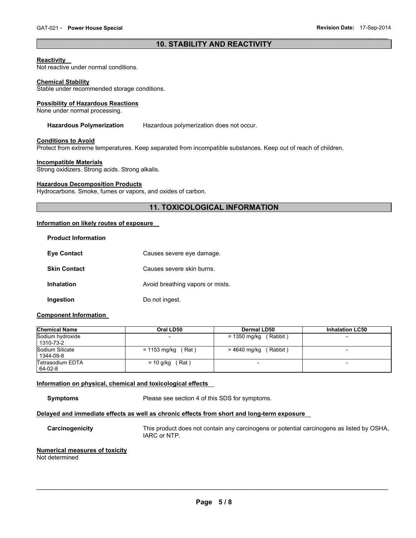# $\mathcal{L}_\mathcal{L} = \{ \mathcal{L}_\mathcal{L} = \{ \mathcal{L}_\mathcal{L} = \{ \mathcal{L}_\mathcal{L} = \{ \mathcal{L}_\mathcal{L} = \{ \mathcal{L}_\mathcal{L} = \{ \mathcal{L}_\mathcal{L} = \{ \mathcal{L}_\mathcal{L} = \{ \mathcal{L}_\mathcal{L} = \{ \mathcal{L}_\mathcal{L} = \{ \mathcal{L}_\mathcal{L} = \{ \mathcal{L}_\mathcal{L} = \{ \mathcal{L}_\mathcal{L} = \{ \mathcal{L}_\mathcal{L} = \{ \mathcal{L}_\mathcal{$ **10. STABILITY AND REACTIVITY**

# **Reactivity**

Not reactive under normal conditions.

#### **Chemical Stability**

Stable under recommended storage conditions.

#### **Possibility of Hazardous Reactions**

None under normal processing.

#### **Hazardous Polymerization** Hazardous polymerization does not occur.

#### **Conditions to Avoid**

Protect from extreme temperatures. Keep separated from incompatible substances. Keep out of reach of children.

#### **Incompatible Materials**

Strong oxidizers. Strong acids. Strong alkalis.

#### **Hazardous Decomposition Products**

Hydrocarbons. Smoke, fumes or vapors, and oxides of carbon.

# **11. TOXICOLOGICAL INFORMATION**

# **Information on likely routes of exposure**

| <b>Product Information</b> |                                  |
|----------------------------|----------------------------------|
| <b>Eve Contact</b>         | Causes severe eye damage.        |
| <b>Skin Contact</b>        | Causes severe skin burns.        |
| <b>Inhalation</b>          | Avoid breathing vapors or mists. |
| Ingestion                  | Do not ingest.                   |

# **Component Information**

| <b>Chemical Name</b>          | Oral LD50             | <b>Dermal LD50</b>       | <b>Inhalation LC50</b>   |
|-------------------------------|-----------------------|--------------------------|--------------------------|
| Sodium hydroxide<br>1310-73-2 |                       | $= 1350$ mg/kg (Rabbit)  |                          |
| Sodium Silicate<br>1344-09-8  | = 1153 mg/kg<br>(Rat) | > 4640 mg/kg<br>(Rabbit) | $\overline{\phantom{a}}$ |
| Tetrasodium EDTA<br>64-02-8   | $= 10$ g/kg (Rat)     |                          |                          |

#### **Information on physical, chemical and toxicological effects**

**Symptoms** Please see section 4 of this SDS for symptoms.

# **Delayed and immediate effects as well as chronic effects from short and long-term exposure**

**Carcinogenicity** This product does not contain any carcinogens or potential carcinogens as listed by OSHA, IARC or NTP.

# **Numerical measures of toxicity**

Not determined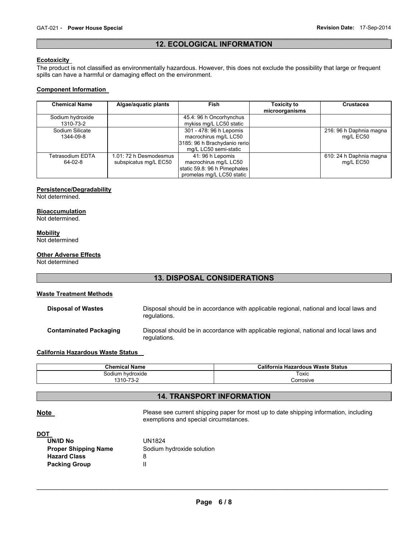# $\mathcal{L}_\mathcal{L} = \{ \mathcal{L}_\mathcal{L} = \{ \mathcal{L}_\mathcal{L} = \{ \mathcal{L}_\mathcal{L} = \{ \mathcal{L}_\mathcal{L} = \{ \mathcal{L}_\mathcal{L} = \{ \mathcal{L}_\mathcal{L} = \{ \mathcal{L}_\mathcal{L} = \{ \mathcal{L}_\mathcal{L} = \{ \mathcal{L}_\mathcal{L} = \{ \mathcal{L}_\mathcal{L} = \{ \mathcal{L}_\mathcal{L} = \{ \mathcal{L}_\mathcal{L} = \{ \mathcal{L}_\mathcal{L} = \{ \mathcal{L}_\mathcal{$ **12. ECOLOGICAL INFORMATION**

# **Ecotoxicity**

The product is not classified as environmentally hazardous. However, this does not exclude the possibility that large or frequent spills can have a harmful or damaging effect on the environment.

#### **Component Information**

| <b>Chemical Name</b>          | Algae/aquatic plants                            | <b>Fish</b>                                                                                               | <b>Toxicity to</b><br>microorganisms | <b>Crustacea</b>                     |
|-------------------------------|-------------------------------------------------|-----------------------------------------------------------------------------------------------------------|--------------------------------------|--------------------------------------|
| Sodium hydroxide<br>1310-73-2 |                                                 | 45.4: 96 h Oncorhynchus<br>mykiss mg/L LC50 static                                                        |                                      |                                      |
| Sodium Silicate<br>1344-09-8  |                                                 | 301 - 478: 96 h Lepomis<br>macrochirus mg/L LC50<br>3185: 96 h Brachydanio rerio<br>mg/L LC50 semi-static |                                      | 216: 96 h Daphnia magna<br>mg/L EC50 |
| Tetrasodium EDTA<br>64-02-8   | 1.01: 72 h Desmodesmus<br>subspicatus mg/L EC50 | 41: 96 h Lepomis<br>macrochirus mg/L LC50<br>static 59.8: 96 h Pimephales<br>promelas mg/L LC50 static    |                                      | 610: 24 h Daphnia magna<br>mg/L EC50 |

# **Persistence/Degradability**

Not determined.

#### **Bioaccumulation**

Not determined.

# **Mobility**

Not determined

# **Other Adverse Effects**

Not determined

# **13. DISPOSAL CONSIDERATIONS**

# **Waste Treatment Methods**

| <b>Disposal of Wastes</b>     | Disposal should be in accordance with applicable regional, national and local laws and<br>regulations. |
|-------------------------------|--------------------------------------------------------------------------------------------------------|
| <b>Contaminated Packaging</b> | Disposal should be in accordance with applicable regional, national and local laws and<br>regulations. |

# **California Hazardous Waste Status**

| Chemical Name    | California Hazardous Waste Status |
|------------------|-----------------------------------|
| Sodium hvdroxide | Toxic                             |
| 1310-73-2        | Corrosive                         |

# **14. TRANSPORT INFORMATION**

**Note Please see current shipping paper for most up to date shipping information, including in the shipping information, including** exemptions and special circumstances.

| UN/ID No                    | UN1824                    |
|-----------------------------|---------------------------|
| <b>Proper Shipping Name</b> | Sodium hydroxide solution |
| <b>Hazard Class</b>         |                           |
| <b>Packing Group</b>        |                           |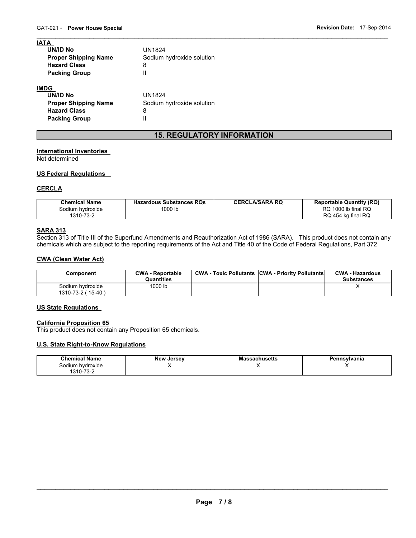| IATA                        |                           |
|-----------------------------|---------------------------|
| <b>UN/ID No</b>             | UN1824                    |
| <b>Proper Shipping Name</b> | Sodium hydroxide solution |
| <b>Hazard Class</b>         | 8                         |
| <b>Packing Group</b>        | Ш                         |
| <b>IMDG</b>                 |                           |
| <b>UN/ID No</b>             | UN1824                    |
| <b>Proper Shipping Name</b> | Sodium hydroxide solution |
| <b>Hazard Class</b>         | 8                         |

**Packing Group** II

# **15. REGULATORY INFORMATION**

 $\mathcal{L}_\mathcal{L} = \{ \mathcal{L}_\mathcal{L} = \{ \mathcal{L}_\mathcal{L} = \{ \mathcal{L}_\mathcal{L} = \{ \mathcal{L}_\mathcal{L} = \{ \mathcal{L}_\mathcal{L} = \{ \mathcal{L}_\mathcal{L} = \{ \mathcal{L}_\mathcal{L} = \{ \mathcal{L}_\mathcal{L} = \{ \mathcal{L}_\mathcal{L} = \{ \mathcal{L}_\mathcal{L} = \{ \mathcal{L}_\mathcal{L} = \{ \mathcal{L}_\mathcal{L} = \{ \mathcal{L}_\mathcal{L} = \{ \mathcal{L}_\mathcal{$ 

# **International Inventories**

Not determined

# **US Federal Regulations**

# **CERCLA**

| <b>Chemical Name</b> | Hazardous Substances RQs | <b>CERCLA/SARA RQ</b> | <b>Reportable Quantity (RQ)</b> |
|----------------------|--------------------------|-----------------------|---------------------------------|
| Sodium hvdroxide     | 1000 lb                  |                       | RQ 1000 lb final RQ             |
| 1310-73-2            |                          |                       | RQ 454 kg final RQ              |

# **SARA 313**

Section 313 of Title III of the Superfund Amendments and Reauthorization Act of 1986 (SARA). This product does not contain any chemicals which are subject to the reporting requirements of the Act and Title 40 of the Code of Federal Regulations, Part 372

# **CWA (Clean Water Act)**

| Component                             | <b>CWA - Reportable</b><br>Quantities | <b>CWA - Toxic Pollutants CWA - Priority Pollutants</b> | <b>CWA - Hazardous</b><br><b>Substances</b> |
|---------------------------------------|---------------------------------------|---------------------------------------------------------|---------------------------------------------|
| Sodium hydroxide<br>1310-73-2 (15-40) | 1000 lb                               |                                                         |                                             |

# **US State Regulations**

# **California Proposition 65**

This product does not contain any Proposition 65 chemicals.

# **U.S. State Right-to-Know Regulations**

| .<br>Chemical N<br>Name                | <b>New Jersey</b> | sachusetts<br>ма | าnsvlvania |
|----------------------------------------|-------------------|------------------|------------|
| Sodium hvdroxide                       |                   |                  |            |
| $\sim$ $\sim$<br>1010<br>1U-7<br>ے-ت ہ |                   |                  |            |